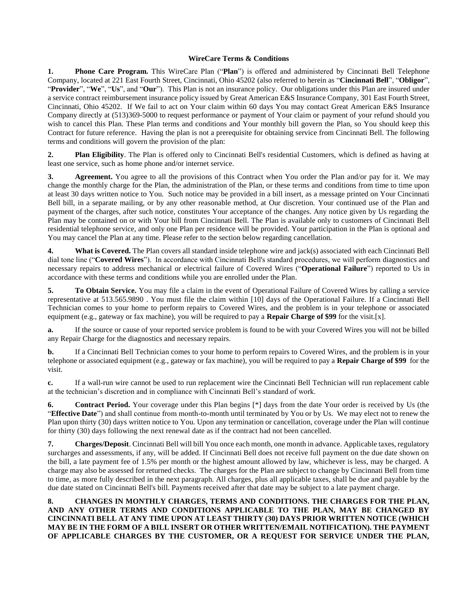## **WireCare Terms & Conditions**

**1. Phone Care Program.** This WireCare Plan ("**Plan**") is offered and administered by Cincinnati Bell Telephone Company, located at 221 East Fourth Street, Cincinnati, Ohio 45202 (also referred to herein as "**Cincinnati Bell**", "**Obligor**", "**Provider**", "**We**", "**Us**", and "**Our**"). This Plan is not an insurance policy. Our obligations under this Plan are insured under a service contract reimbursement insurance policy issued by Great American E&S Insurance Company, 301 East Fourth Street, Cincinnati, Ohio 45202. If We fail to act on Your claim within 60 days You may contact Great American E&S Insurance Company directly at (513)369-5000 to request performance or payment of Your claim or payment of your refund should you wish to cancel this Plan. These Plan terms and conditions and Your monthly bill govern the Plan, so You should keep this Contract for future reference. Having the plan is not a prerequisite for obtaining service from Cincinnati Bell. The following terms and conditions will govern the provision of the plan:

**2. Plan Eligibility**. The Plan is offered only to Cincinnati Bell's residential Customers, which is defined as having at least one service, such as home phone and/or internet service.

**3. Agreement.** You agree to all the provisions of this Contract when You order the Plan and/or pay for it. We may change the monthly charge for the Plan, the administration of the Plan, or these terms and conditions from time to time upon at least 30 days written notice to You. Such notice may be provided in a bill insert, as a message printed on Your Cincinnati Bell bill, in a separate mailing, or by any other reasonable method, at Our discretion. Your continued use of the Plan and payment of the charges, after such notice, constitutes Your acceptance of the changes. Any notice given by Us regarding the Plan may be contained on or with Your bill from Cincinnati Bell. The Plan is available only to customers of Cincinnati Bell residential telephone service, and only one Plan per residence will be provided. Your participation in the Plan is optional and You may cancel the Plan at any time. Please refer to the section below regarding cancellation.

**4. What is Covered.** The Plan covers all standard inside telephone wire and jack(s) associated with each Cincinnati Bell dial tone line ("**Covered Wires**"). In accordance with Cincinnati Bell's standard procedures, we will perform diagnostics and necessary repairs to address mechanical or electrical failure of Covered Wires ("**Operational Failure**") reported to Us in accordance with these terms and conditions while you are enrolled under the Plan.

**5. To Obtain Service.** You may file a claim in the event of Operational Failure of Covered Wires by calling a service representative at 513.565.9890 . You must file the claim within [10] days of the Operational Failure. If a Cincinnati Bell Technician comes to your home to perform repairs to Covered Wires, and the problem is in your telephone or associated equipment (e.g., gateway or fax machine), you will be required to pay a **Repair Charge of \$99** for the visit.[x].

**a.** If the source or cause of your reported service problem is found to be with your Covered Wires you will not be billed any Repair Charge for the diagnostics and necessary repairs.

**b.** If a Cincinnati Bell Technician comes to your home to perform repairs to Covered Wires, and the problem is in your telephone or associated equipment (e.g., gateway or fax machine), you will be required to pay a **Repair Charge of \$99** for the visit.

**c.** If a wall-run wire cannot be used to run replacement wire the Cincinnati Bell Technician will run replacement cable at the technician's discretion and in compliance with Cincinnati Bell's standard of work.

**6. Contract Period.** Your coverage under this Plan begins [\*] days from the date Your order is received by Us (the "**Effective Date**") and shall continue from month-to-month until terminated by You or by Us. We may elect not to renew the Plan upon thirty (30) days written notice to You. Upon any termination or cancellation, coverage under the Plan will continue for thirty (30) days following the next renewal date as if the contract had not been cancelled.

**7. Charges/Deposit**. Cincinnati Bell will bill You once each month, one month in advance. Applicable taxes, regulatory surcharges and assessments, if any, will be added. If Cincinnati Bell does not receive full payment on the due date shown on the bill, a late payment fee of 1.5% per month or the highest amount allowed by law, whichever is less, may be charged. A charge may also be assessed for returned checks. The charges for the Plan are subject to change by Cincinnati Bell from time to time, as more fully described in the next paragraph. All charges, plus all applicable taxes, shall be due and payable by the due date stated on Cincinnati Bell's bill. Payments received after that date may be subject to a late payment charge.

**8. CHANGES IN MONTHLY CHARGES, TERMS AND CONDITIONS. THE CHARGES FOR THE PLAN, AND ANY OTHER TERMS AND CONDITIONS APPLICABLE TO THE PLAN, MAY BE CHANGED BY CINCINNATI BELL AT ANY TIME UPON AT LEAST THIRTY (30) DAYS PRIOR WRITTEN NOTICE (WHICH MAY BE IN THE FORM OF A BILL INSERT OR OTHER WRITTEN/EMAIL NOTIFICATION). THE PAYMENT OF APPLICABLE CHARGES BY THE CUSTOMER, OR A REQUEST FOR SERVICE UNDER THE PLAN,**